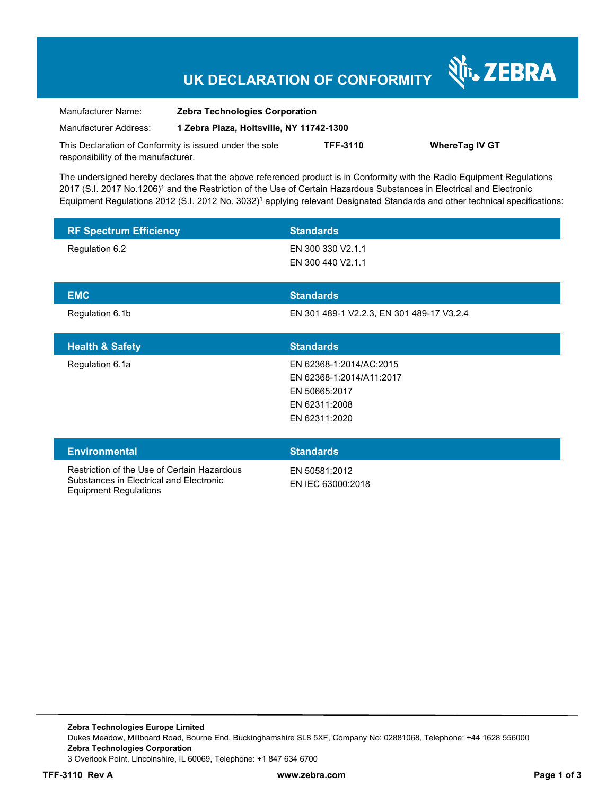# **UK DECLARATION OF CONFORMITY**

Nr. ZEBRA

| Manufacturer Name:                                      | <b>Zebra Technologies Corporation</b>    |                 |                       |
|---------------------------------------------------------|------------------------------------------|-----------------|-----------------------|
| Manufacturer Address:                                   | 1 Zebra Plaza, Holtsville, NY 11742-1300 |                 |                       |
| This Declaration of Conformity is issued under the sole |                                          | <b>TFF-3110</b> | <b>WhereTag IV GT</b> |
| responsibility of the manufacturer.                     |                                          |                 |                       |

The undersigned hereby declares that the above referenced product is in Conformity with the Radio Equipment Regulations 2017 (S.I. 2017 No.1206)<sup>1</sup> and the Restriction of the Use of Certain Hazardous Substances in Electrical and Electronic Equipment Regulations 2012 (S.I. 2012 No. 3032)<sup>1</sup> applying relevant Designated Standards and other technical specifications:

| <b>RF Spectrum Efficiency</b>                                                          | <b>Standards</b>                                                                                       |
|----------------------------------------------------------------------------------------|--------------------------------------------------------------------------------------------------------|
| Regulation 6.2                                                                         | EN 300 330 V2.1.1<br>EN 300 440 V2.1.1                                                                 |
| <b>EMC</b>                                                                             | <b>Standards</b>                                                                                       |
| Regulation 6.1b                                                                        | EN 301 489-1 V2.2.3, EN 301 489-17 V3.2.4                                                              |
| <b>Health &amp; Safety</b>                                                             | <b>Standards</b>                                                                                       |
| Regulation 6.1a                                                                        | EN 62368-1:2014/AC:2015<br>EN 62368-1:2014/A11:2017<br>EN 50665:2017<br>EN 62311:2008<br>EN 62311:2020 |
| <b>Environmental</b>                                                                   | <b>Standards</b>                                                                                       |
| Restriction of the Use of Certain Hazardous<br>Substances in Electrical and Electronic | EN 50581:2012<br>EN IEC 63000:2018                                                                     |

**Zebra Technologies Europe Limited**  Dukes Meadow, Millboard Road, Bourne End, Buckinghamshire SL8 5XF, Company No: 02881068, Telephone: +44 1628 556000 **Zebra Technologies Corporation**  3 Overlook Point, Lincolnshire, IL 60069, Telephone: +1 847 634 6700

Equipment Regulations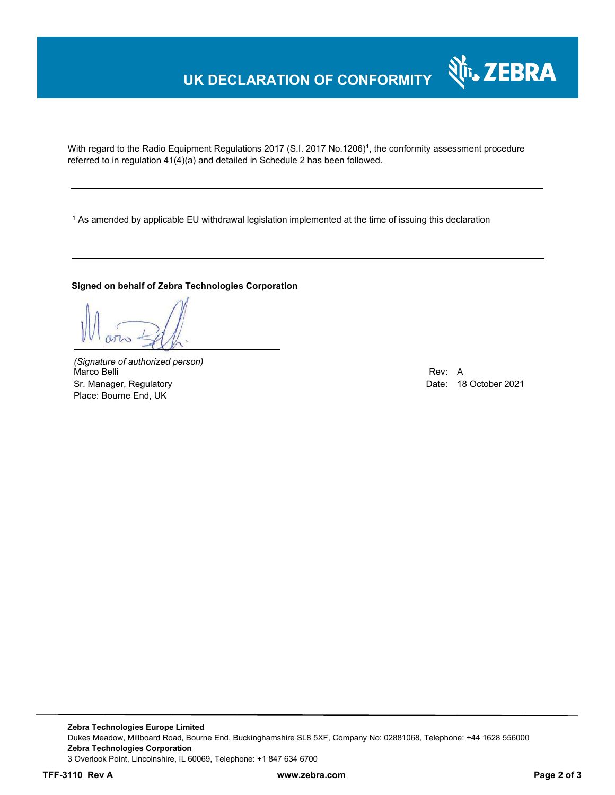# **UK DECLARATION OF CONFORMITY**

With regard to the Radio Equipment Regulations 2017 (S.I. 2017 No.1206)<sup>1</sup>, the conformity assessment procedure referred to in regulation 41(4)(a) and detailed in Schedule 2 has been followed.

 $^{\rm 1}$  As amended by applicable EU withdrawal legislation implemented at the time of issuing this declaration

#### **Signed on behalf of Zebra Technologies Corporation**

*(Signature of authorized person)* Marco Belli Rev: A Alexander Company of the Company of the Company of the Company of the Company of the Company of the Company of the Company of the Company of the Company of the Company of the Company of the Company of th Sr. Manager, Regulatory Date: 18 October 2021 Place: Bourne End, UK

र्शे<sub>ि</sub> ZEBRA